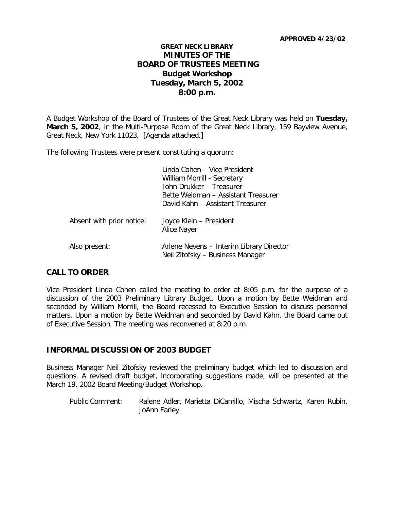#### **APPROVED 4/23/02**

# **GREAT NECK LIBRARY MINUTES OF THE BOARD OF TRUSTEES MEETING Budget Workshop Tuesday, March 5, 2002 8:00 p.m.**

A Budget Workshop of the Board of Trustees of the Great Neck Library was held on **Tuesday, March 5, 2002**, in the Multi-Purpose Room of the Great Neck Library, 159 Bayview Avenue, Great Neck, New York 11023. [Agenda attached.]

The following Trustees were present constituting a quorum:

|                           | Linda Cohen - Vice President<br>William Morrill - Secretary<br>John Drukker - Treasurer<br>Bette Weidman - Assistant Treasurer<br>David Kahn – Assistant Treasurer |
|---------------------------|--------------------------------------------------------------------------------------------------------------------------------------------------------------------|
| Absent with prior notice: | Joyce Klein - President<br>Alice Nayer                                                                                                                             |
| Also present:             | Arlene Nevens - Interim Library Director<br>Neil Zitofsky - Business Manager                                                                                       |

# **CALL TO ORDER**

Vice President Linda Cohen called the meeting to order at 8:05 p.m. for the purpose of a discussion of the 2003 Preliminary Library Budget. Upon a motion by Bette Weidman and seconded by William Morrill, the Board recessed to Executive Session to discuss personnel matters. Upon a motion by Bette Weidman and seconded by David Kahn, the Board came out of Executive Session. The meeting was reconvened at 8:20 p.m.

## **INFORMAL DISCUSSION OF 2003 BUDGET**

Business Manager Neil Zitofsky reviewed the preliminary budget which led to discussion and questions. A revised draft budget, incorporating suggestions made, will be presented at the March 19, 2002 Board Meeting/Budget Workshop.

Public Comment: Ralene Adler, Marietta DiCamillo, Mischa Schwartz, Karen Rubin, JoAnn Farley